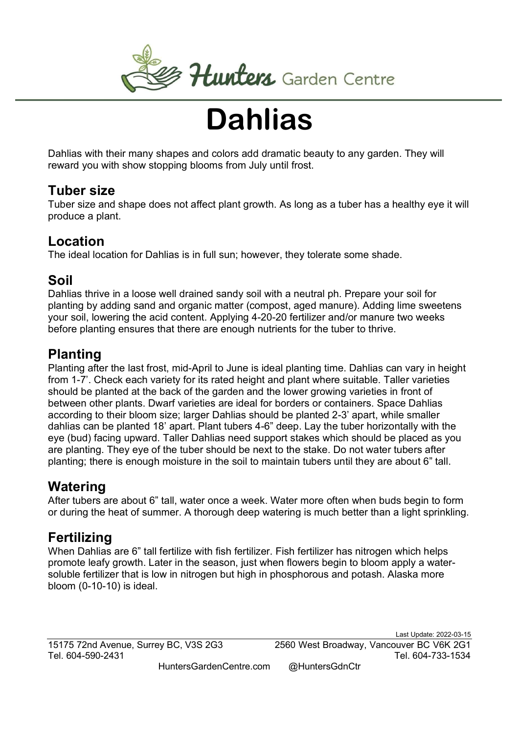

# **Dahlias**

Dahlias with their many shapes and colors add dramatic beauty to any garden. They will reward you with show stopping blooms from July until frost.

## Tuber size

Tuber size and shape does not affect plant growth. As long as a tuber has a healthy eye it will produce a plant.

## Location

The ideal location for Dahlias is in full sun; however, they tolerate some shade.

## Soil

Dahlias thrive in a loose well drained sandy soil with a neutral ph. Prepare your soil for planting by adding sand and organic matter (compost, aged manure). Adding lime sweetens your soil, lowering the acid content. Applying 4-20-20 fertilizer and/or manure two weeks before planting ensures that there are enough nutrients for the tuber to thrive.

## Planting

Planting after the last frost, mid-April to June is ideal planting time. Dahlias can vary in height from 1-7'. Check each variety for its rated height and plant where suitable. Taller varieties should be planted at the back of the garden and the lower growing varieties in front of between other plants. Dwarf varieties are ideal for borders or containers. Space Dahlias according to their bloom size; larger Dahlias should be planted 2-3' apart, while smaller dahlias can be planted 18' apart. Plant tubers 4-6" deep. Lay the tuber horizontally with the eye (bud) facing upward. Taller Dahlias need support stakes which should be placed as you are planting. They eye of the tuber should be next to the stake. Do not water tubers after planting; there is enough moisture in the soil to maintain tubers until they are about 6" tall.

# Watering

After tubers are about 6" tall, water once a week. Water more often when buds begin to form or during the heat of summer. A thorough deep watering is much better than a light sprinkling.

# Fertilizing

When Dahlias are 6" tall fertilize with fish fertilizer. Fish fertilizer has nitrogen which helps promote leafy growth. Later in the season, just when flowers begin to bloom apply a watersoluble fertilizer that is low in nitrogen but high in phosphorous and potash. Alaska more bloom (0-10-10) is ideal.